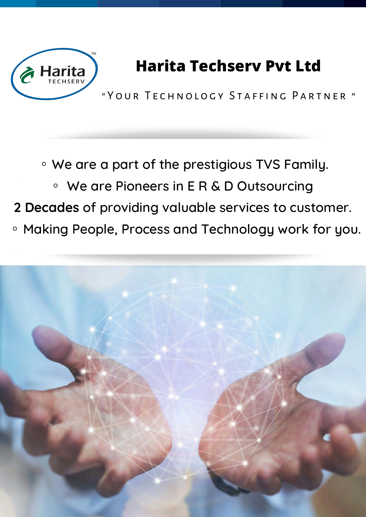

## **Harita Techserv Pvt Ltd**

" YOUR TECHNOLOGY STAFFING PARTNER "

◦We are <sup>a</sup> part of the prestigious TVS Family. ◦

We are Pioneers in E R & D Outsourcing

**2 Decades** of providing valuable services to customer.

◦Making People, Process and Technology work for you.